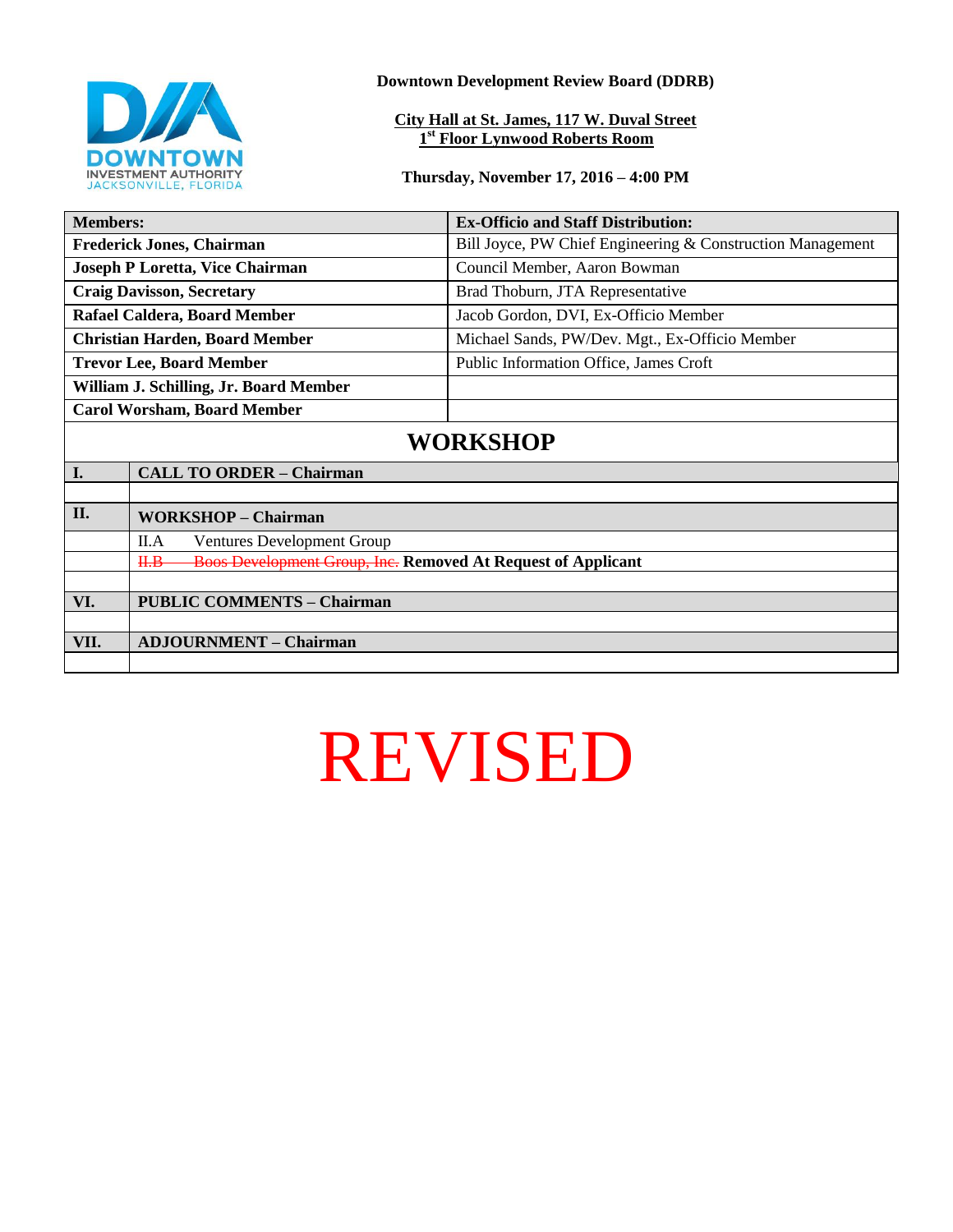

**Downtown Development Review Board (DDRB)**

**City Hall at St. James, 117 W. Duval Street 1 st Floor Lynwood Roberts Room**

**Thursday, November 17, 2016 – 4:00 PM**

| <b>Members:</b>                        |                                                                             | <b>Ex-Officio and Staff Distribution:</b>                  |
|----------------------------------------|-----------------------------------------------------------------------------|------------------------------------------------------------|
| <b>Frederick Jones, Chairman</b>       |                                                                             | Bill Joyce, PW Chief Engineering & Construction Management |
| <b>Joseph P Loretta, Vice Chairman</b> |                                                                             | Council Member, Aaron Bowman                               |
| <b>Craig Davisson, Secretary</b>       |                                                                             | Brad Thoburn, JTA Representative                           |
| Rafael Caldera, Board Member           |                                                                             | Jacob Gordon, DVI, Ex-Officio Member                       |
| <b>Christian Harden, Board Member</b>  |                                                                             | Michael Sands, PW/Dev. Mgt., Ex-Officio Member             |
| <b>Trevor Lee, Board Member</b>        |                                                                             | Public Information Office, James Croft                     |
| William J. Schilling, Jr. Board Member |                                                                             |                                                            |
| <b>Carol Worsham, Board Member</b>     |                                                                             |                                                            |
| <b>WORKSHOP</b>                        |                                                                             |                                                            |
| I.                                     | <b>CALL TO ORDER - Chairman</b>                                             |                                                            |
|                                        |                                                                             |                                                            |
| II.                                    | <b>WORKSHOP - Chairman</b>                                                  |                                                            |
|                                        | <b>Ventures Development Group</b><br>II.A                                   |                                                            |
|                                        | <b>Boos Development Group, Inc. Removed At Request of Applicant</b><br>H.H. |                                                            |
|                                        |                                                                             |                                                            |
| VI.                                    | <b>PUBLIC COMMENTS - Chairman</b>                                           |                                                            |
|                                        |                                                                             |                                                            |
| VII.                                   | <b>ADJOURNMENT - Chairman</b>                                               |                                                            |
|                                        |                                                                             |                                                            |

## REVISED